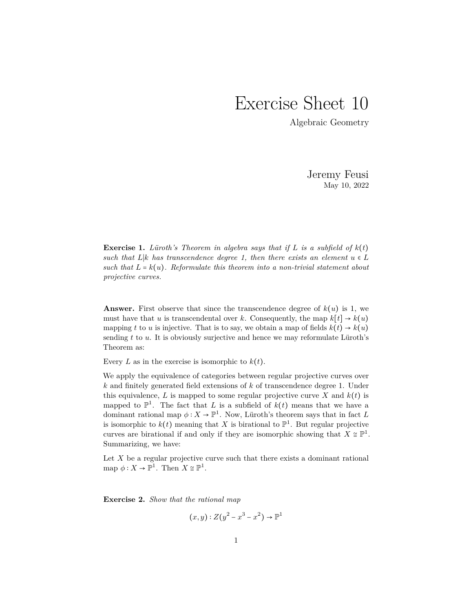## Exercise Sheet 10

Algebraic Geometry

Jeremy Feusi May 10, 2022

**Exercise 1.** *Lüroth's Theorem in algebra says that if*  $L$  *is a subfield of*  $k(t)$ *such that*  $L|k$  *has transcendence degree 1, then there exists an element*  $u \in L$ *such that*  $L = k(u)$ *. Reformulate this theorem into a non-trivial statement about projective curves.*

**Answer.** First observe that since the transcendence degree of  $k(u)$  is 1, we must have that *u* is transcendental over *k*. Consequently, the map  $k[t] \rightarrow k(u)$ mapping *t* to *u* is injective. That is to say, we obtain a map of fields  $k(t) \rightarrow k(u)$ sending *t* to *u*. It is obviously surjective and hence we may reformulate Lüroth's Theorem as:

Every *L* as in the exercise is isomorphic to  $k(t)$ .

We apply the equivalence of categories between regular projective curves over *k* and finitely generated field extensions of *k* of transcendence degree 1. Under this equivalence,  $L$  is mapped to some regular projective curve  $X$  and  $k(t)$  is mapped to  $\mathbb{P}^1$ . The fact that *L* is a subfield of  $k(t)$  means that we have a dominant rational map  $\phi: X \to \mathbb{P}^1$ . Now, Lüroth's theorem says that in fact *L* is isomorphic to  $k(t)$  meaning that X is birational to  $\mathbb{P}^1$ . But regular projective curves are birational if and only if they are isomorphic showing that  $X \cong \mathbb{P}^1$ . Summarizing, we have:

Let  $X$  be a regular projective curve such that there exists a dominant rational map  $\phi: X \to \mathbb{P}^1$ . Then  $X \cong \mathbb{P}^1$ .

**Exercise 2.** *Show that the rational map*

$$
(x, y): Z(y^2 - x^3 - x^2) \to \mathbb{P}^1
$$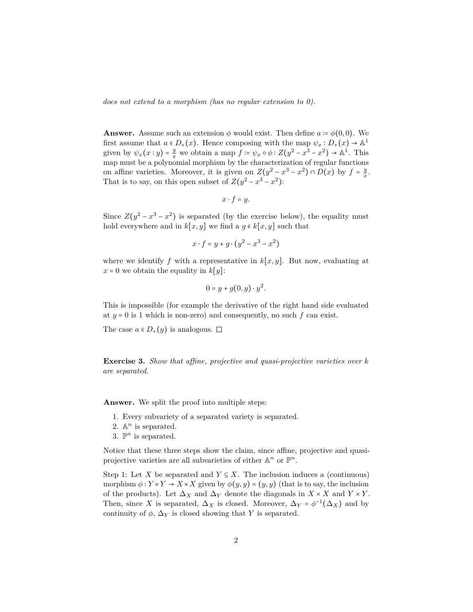*does not extend to a morphism (has no regular extension to 0).*

**Answer.** Assume such an extension  $\phi$  would exist. Then define  $a := \phi(0,0)$ . We first assume that  $a \in D_+(x)$ . Hence composing with the map  $\psi_x : D_+(x) \to \mathbb{A}^1$ given by  $\psi_x(x:y) = \frac{y}{x}$  $\frac{y}{x}$  we obtain a map  $f \coloneqq \psi_x \circ \phi : Z(y^2 - x^3 - x^2) \to \mathbb{A}^1$ . This map must be a polynomial morphism by the characterization of regular functions on affine varieties. Moreover, it is given on  $Z(y^2 - x^3 - x^2) \cap D(x)$  by  $f = \frac{y}{x}$  $\frac{y}{x}$ . That is to say, on this open subset of  $Z(y^2 - x^3 - x^2)$ :

$$
x \cdot f = y.
$$

Since  $Z(y^2 - x^3 - x^2)$  is separated (by the exercise below), the equality must hold everywhere and in  $k[x, y]$  we find a  $q \in k[x, y]$  such that

$$
x \cdot f = y + g \cdot (y^2 - x^3 - x^2)
$$

where we identify  $f$  with a representative in  $k[x, y]$ . But now, evaluating at  $x = 0$  we obtain the equality in  $k[y]$ :

$$
0 = y + g(0, y) \cdot y^2.
$$

This is impossible (for example the derivative of the right hand side evaluated at  $y = 0$  is 1 which is non-zero) and consequently, no such  $f$  can exist.

The case  $a \in D_+(y)$  is analogous.  $\square$ 

**Exercise 3.** *Show that affine, projective and quasi-projective varieties over k are separated.*

**Answer.** We split the proof into multiple steps:

- 1. Every subvariety of a separated variety is separated.
- 2.  $\mathbb{A}^n$  is separated.
- 3.  $\mathbb{P}^n$  is separated.

Notice that these three steps show the claim, since affine, projective and quasiprojective varieties are all subvarieties of either  $\mathbb{A}^n$  or  $\mathbb{P}^n$ .

Step 1: Let *X* be separated and  $Y \subseteq X$ . The inclusion induces a (continuous) morphism  $\phi: Y \times Y \to X \times X$  given by  $\phi(y, y) = (y, y)$  (that is to say, the inclusion of the products). Let  $\Delta_X$  and  $\Delta_Y$  denote the diagonals in  $X \times X$  and  $Y \times Y$ . Then, since *X* is separated,  $\Delta_X$  is closed. Moreover,  $\Delta_Y = \phi^{-1}(\Delta_X)$  and by continuity of  $\phi$ ,  $\Delta_Y$  is closed showing that *Y* is separated.